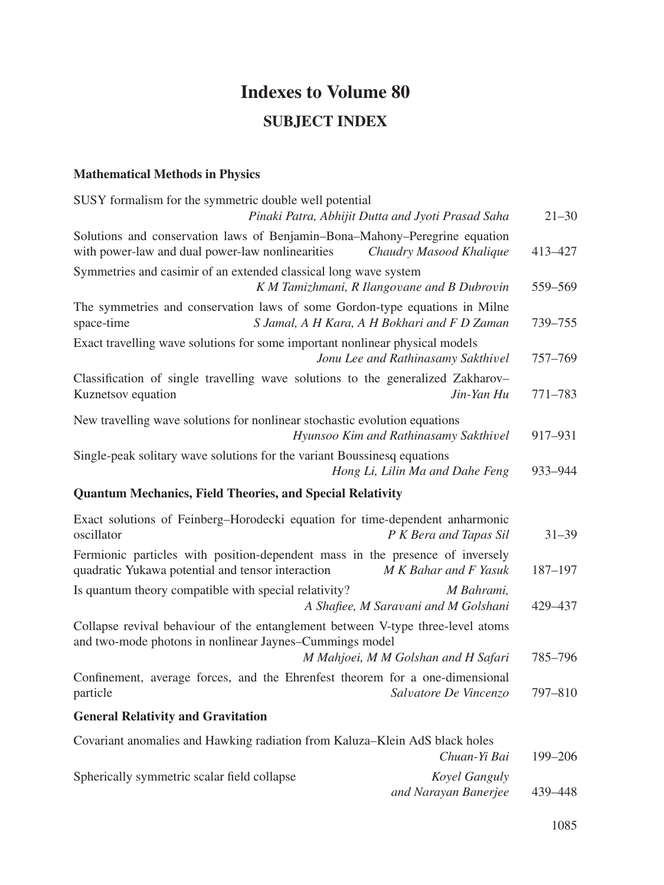## **Indexes to Volume 80 SUBJECT INDEX**

## **Mathematical Methods in Physics**

| SUSY formalism for the symmetric double well potential<br>Pinaki Patra, Abhijit Dutta and Jyoti Prasad Saha                                |                                                    | $21 - 30$ |
|--------------------------------------------------------------------------------------------------------------------------------------------|----------------------------------------------------|-----------|
| Solutions and conservation laws of Benjamin-Bona-Mahony-Peregrine equation<br>with power-law and dual power-law nonlinearities             | Chaudry Masood Khalique                            | 413-427   |
| Symmetries and casimir of an extended classical long wave system<br>K M Tamizhmani, R Ilangovane and B Dubrovin                            |                                                    | 559-569   |
| The symmetries and conservation laws of some Gordon-type equations in Milne<br>space-time<br>S Jamal, A H Kara, A H Bokhari and F D Zaman  |                                                    | 739-755   |
| Exact travelling wave solutions for some important nonlinear physical models                                                               | Jonu Lee and Rathinasamy Sakthivel                 | 757-769   |
| Classification of single travelling wave solutions to the generalized Zakharov-<br>Kuznetsov equation                                      | Jin-Yan Hu                                         | 771–783   |
| New travelling wave solutions for nonlinear stochastic evolution equations                                                                 | Hyunsoo Kim and Rathinasamy Sakthivel              | 917-931   |
| Single-peak solitary wave solutions for the variant Boussinesq equations                                                                   | Hong Li, Lilin Ma and Dahe Feng                    | 933-944   |
| <b>Quantum Mechanics, Field Theories, and Special Relativity</b>                                                                           |                                                    |           |
| Exact solutions of Feinberg-Horodecki equation for time-dependent anharmonic<br>oscillator                                                 | P K Bera and Tapas Sil                             | $31 - 39$ |
| Fermionic particles with position-dependent mass in the presence of inversely<br>quadratic Yukawa potential and tensor interaction         | M K Bahar and F Yasuk                              | 187-197   |
| Is quantum theory compatible with special relativity?                                                                                      | M Bahrami,<br>A Shafiee, M Saravani and M Golshani | 429–437   |
| Collapse revival behaviour of the entanglement between V-type three-level atoms<br>and two-mode photons in nonlinear Jaynes-Cummings model | M Mahjoei, M M Golshan and H Safari                | 785-796   |
| Confinement, average forces, and the Ehrenfest theorem for a one-dimensional<br>particle                                                   | Salvatore De Vincenzo                              | 797-810   |
| <b>General Relativity and Gravitation</b>                                                                                                  |                                                    |           |
| Covariant anomalies and Hawking radiation from Kaluza-Klein AdS black holes                                                                | Chuan-Yi Bai                                       | 199-206   |
| Spherically symmetric scalar field collapse                                                                                                | Koyel Ganguly<br>and Narayan Banerjee              | 439-448   |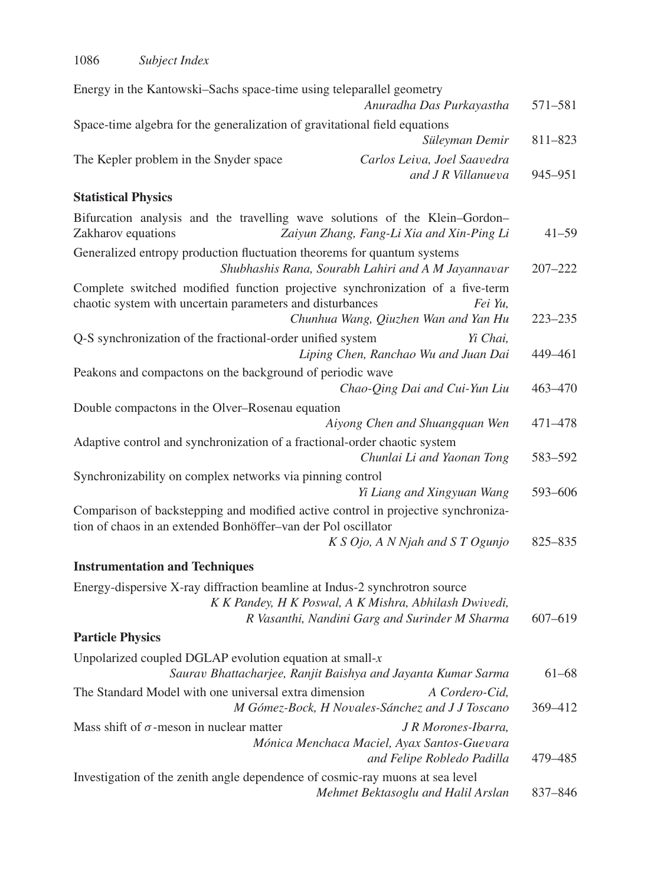| Energy in the Kantowski-Sachs space-time using teleparallel geometry                                                                                  |             |
|-------------------------------------------------------------------------------------------------------------------------------------------------------|-------------|
| Anuradha Das Purkayastha                                                                                                                              | 571-581     |
| Space-time algebra for the generalization of gravitational field equations                                                                            |             |
| Süleyman Demir                                                                                                                                        | 811-823     |
| The Kepler problem in the Snyder space<br>Carlos Leiva, Joel Saavedra<br>and J R Villanueva                                                           | 945-951     |
| <b>Statistical Physics</b>                                                                                                                            |             |
| Bifurcation analysis and the travelling wave solutions of the Klein-Gordon-<br>Zakharov equations<br>Zaiyun Zhang, Fang-Li Xia and Xin-Ping Li        | $41 - 59$   |
| Generalized entropy production fluctuation theorems for quantum systems<br>Shubhashis Rana, Sourabh Lahiri and A M Jayannavar                         | $207 - 222$ |
| Complete switched modified function projective synchronization of a five-term<br>chaotic system with uncertain parameters and disturbances<br>Fei Yu, |             |
| Chunhua Wang, Qiuzhen Wan and Yan Hu                                                                                                                  | $223 - 235$ |
| Q-S synchronization of the fractional-order unified system<br>Yi Chai,<br>Liping Chen, Ranchao Wu and Juan Dai                                        | 449-461     |
| Peakons and compactons on the background of periodic wave                                                                                             |             |
| Chao-Qing Dai and Cui-Yun Liu                                                                                                                         | 463-470     |
| Double compactons in the Olver-Rosenau equation                                                                                                       |             |
| Aiyong Chen and Shuangquan Wen                                                                                                                        | 471-478     |
| Adaptive control and synchronization of a fractional-order chaotic system<br>Chunlai Li and Yaonan Tong                                               | 583-592     |
| Synchronizability on complex networks via pinning control                                                                                             |             |
| Yi Liang and Xingyuan Wang                                                                                                                            | 593-606     |
| Comparison of backstepping and modified active control in projective synchroniza-<br>tion of chaos in an extended Bonhöffer-van der Pol oscillator    |             |
| K S Ojo, A N Njah and S T Ogunjo                                                                                                                      | 825-835     |
| <b>Instrumentation and Techniques</b>                                                                                                                 |             |
| Energy-dispersive X-ray diffraction beamline at Indus-2 synchrotron source                                                                            |             |
| K K Pandey, H K Poswal, A K Mishra, Abhilash Dwivedi,                                                                                                 |             |
| R Vasanthi, Nandini Garg and Surinder M Sharma                                                                                                        | 607-619     |
| <b>Particle Physics</b>                                                                                                                               |             |
| Unpolarized coupled DGLAP evolution equation at small- $x$<br>Saurav Bhattacharjee, Ranjit Baishya and Jayanta Kumar Sarma                            | $61 - 68$   |
| The Standard Model with one universal extra dimension<br>A Cordero-Cid,<br>M Gómez-Bock, H Novales-Sánchez and J J Toscano                            | 369-412     |
| Mass shift of $\sigma$ -meson in nuclear matter<br>J R Morones-Ibarra,<br>Mónica Menchaca Maciel, Ayax Santos-Guevara                                 |             |
| and Felipe Robledo Padilla                                                                                                                            | 479 - 485   |
| Investigation of the zenith angle dependence of cosmic-ray muons at sea level<br>Mehmet Bektasoglu and Halil Arslan                                   | 837-846     |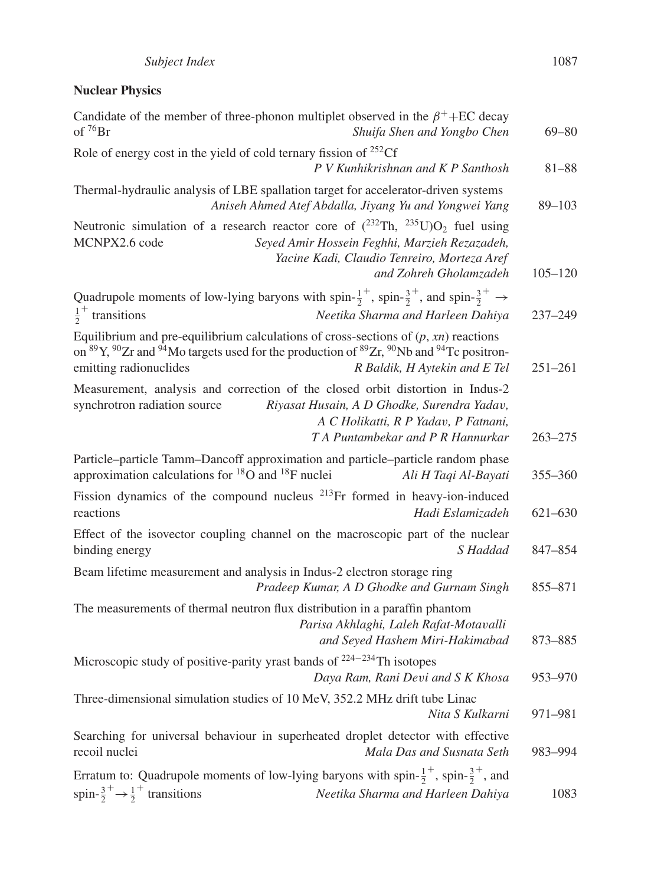## **Nuclear Physics**

| Candidate of the member of three-phonon multiplet observed in the $\beta^+$ +EC decay<br>of ${}^{76}Br$<br>Shuifa Shen and Yongbo Chen                                                                                                                                                                             | $69 - 80$   |
|--------------------------------------------------------------------------------------------------------------------------------------------------------------------------------------------------------------------------------------------------------------------------------------------------------------------|-------------|
| Role of energy cost in the yield of cold ternary fission of $^{252}$ Cf<br>P V Kunhikrishnan and K P Santhosh                                                                                                                                                                                                      | $81 - 88$   |
| Thermal-hydraulic analysis of LBE spallation target for accelerator-driven systems<br>Aniseh Ahmed Atef Abdalla, Jiyang Yu and Yongwei Yang                                                                                                                                                                        | $89 - 103$  |
| Neutronic simulation of a research reactor core of $(^{232}Th, ^{235}U)O_2$ fuel using<br>MCNPX2.6 code<br>Seyed Amir Hossein Feghhi, Marzieh Rezazadeh,<br>Yacine Kadi, Claudio Tenreiro, Morteza Aref<br>and Zohreh Gholamzadeh                                                                                  | $105 - 120$ |
| Quadrupole moments of low-lying baryons with spin- $\frac{1}{2}^+$ , spin- $\frac{3}{2}^+$ , and spin- $\frac{3}{2}^+$ $\rightarrow$<br>$\frac{1}{2}^+$ transitions<br>Neetika Sharma and Harleen Dahiya                                                                                                           | 237-249     |
| Equilibrium and pre-equilibrium calculations of cross-sections of $(p, xn)$ reactions<br>on <sup>89</sup> Y, <sup>90</sup> Zr and <sup>94</sup> Mo targets used for the production of <sup>89</sup> Zr, <sup>90</sup> Nb and <sup>94</sup> Tc positron-<br>emitting radionuclides<br>R Baldik, H Aytekin and E Tel | $251 - 261$ |
| Measurement, analysis and correction of the closed orbit distortion in Indus-2<br>synchrotron radiation source<br>Riyasat Husain, A D Ghodke, Surendra Yadav,<br>A C Holikatti, R P Yadav, P Fatnani,<br>T A Puntambekar and P R Hannurkar                                                                         | $263 - 275$ |
| Particle-particle Tamm-Dancoff approximation and particle-particle random phase<br>approximation calculations for ${}^{18}O$ and ${}^{18}F$ nuclei<br>Ali H Taqi Al-Bayati                                                                                                                                         | 355-360     |
| Fission dynamics of the compound nucleus $^{213}$ Fr formed in heavy-ion-induced<br>reactions<br>Hadi Eslamizadeh                                                                                                                                                                                                  | 621-630     |
| Effect of the isovector coupling channel on the macroscopic part of the nuclear<br>binding energy<br>S Haddad                                                                                                                                                                                                      | 847-854     |
| Beam lifetime measurement and analysis in Indus-2 electron storage ring<br>Pradeep Kumar, A D Ghodke and Gurnam Singh                                                                                                                                                                                              | 855-871     |
| The measurements of thermal neutron flux distribution in a paraffin phantom<br>Parisa Akhlaghi, Laleh Rafat-Motavalli<br>and Seyed Hashem Miri-Hakimabad                                                                                                                                                           | 873-885     |
| Microscopic study of positive-parity yrast bands of $224-234$ Th isotopes<br>Daya Ram, Rani Devi and S K Khosa                                                                                                                                                                                                     | 953-970     |
| Three-dimensional simulation studies of 10 MeV, 352.2 MHz drift tube Linac<br>Nita S Kulkarni                                                                                                                                                                                                                      | 971-981     |
| Searching for universal behaviour in superheated droplet detector with effective<br>recoil nuclei<br>Mala Das and Susnata Seth                                                                                                                                                                                     | 983-994     |
| Erratum to: Quadrupole moments of low-lying baryons with spin- $\frac{1}{2}^+$ , spin- $\frac{3}{2}^+$ , and<br>spin- $\frac{3}{2}^+$ $\rightarrow \frac{1}{2}^+$ transitions<br>Neetika Sharma and Harleen Dahiya                                                                                                 | 1083        |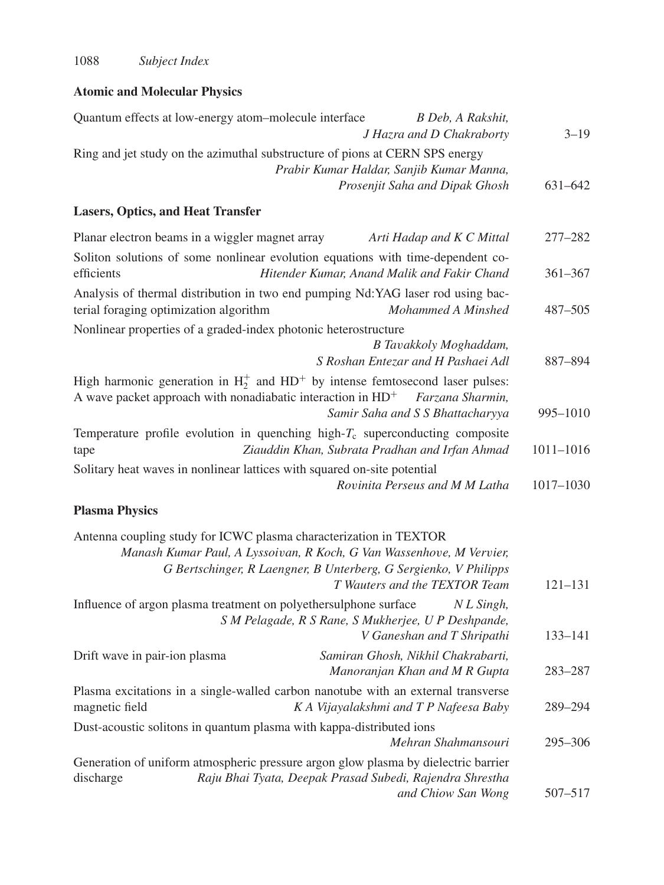## **Atomic and Molecular Physics**

| Quantum effects at low-energy atom-molecule interface<br>B Deb, A Rakshit,<br>J Hazra and D Chakraborty                                                                                                                                        | $3 - 19$      |
|------------------------------------------------------------------------------------------------------------------------------------------------------------------------------------------------------------------------------------------------|---------------|
| Ring and jet study on the azimuthal substructure of pions at CERN SPS energy<br>Prabir Kumar Haldar, Sanjib Kumar Manna,<br>Prosenjit Saha and Dipak Ghosh                                                                                     | 631-642       |
| <b>Lasers, Optics, and Heat Transfer</b>                                                                                                                                                                                                       |               |
| Planar electron beams in a wiggler magnet array<br>Arti Hadap and K C Mittal                                                                                                                                                                   | 277-282       |
| Soliton solutions of some nonlinear evolution equations with time-dependent co-<br>Hitender Kumar, Anand Malik and Fakir Chand<br>efficients                                                                                                   | $361 - 367$   |
| Analysis of thermal distribution in two end pumping Nd:YAG laser rod using bac-<br>terial foraging optimization algorithm<br>Mohammed A Minshed                                                                                                | 487-505       |
| Nonlinear properties of a graded-index photonic heterostructure                                                                                                                                                                                |               |
| B Tavakkoly Moghaddam,<br>S Roshan Entezar and H Pashaei Adl                                                                                                                                                                                   | 887-894       |
| High harmonic generation in $H_2^+$ and $HD^+$ by intense femtosecond laser pulses:<br>A wave packet approach with nonadiabatic interaction in $HD^+$<br>Farzana Sharmin,                                                                      |               |
| Samir Saha and S S Bhattacharyya                                                                                                                                                                                                               | 995-1010      |
| Temperature profile evolution in quenching high- $T_c$ superconducting composite<br>Ziauddin Khan, Subrata Pradhan and Irfan Ahmad<br>tape                                                                                                     | $1011 - 1016$ |
| Solitary heat waves in nonlinear lattices with squared on-site potential<br>Rovinita Perseus and M M Latha                                                                                                                                     | 1017-1030     |
| <b>Plasma Physics</b>                                                                                                                                                                                                                          |               |
| Antenna coupling study for ICWC plasma characterization in TEXTOR<br>Manash Kumar Paul, A Lyssoivan, R Koch, G Van Wassenhove, M Vervier,<br>G Bertschinger, R Laengner, B Unterberg, G Sergienko, V Philipps<br>T Wauters and the TEXTOR Team | $121 - 131$   |
| Influence of argon plasma treatment on polyethersulphone surface<br>$NL$ Singh,<br>S M Pelagade, R S Rane, S Mukherjee, U P Deshpande,<br>V Ganeshan and T Shripathi                                                                           | $133 - 141$   |
| Drift wave in pair-ion plasma<br>Samiran Ghosh, Nikhil Chakrabarti,<br>Manoranjan Khan and M R Gupta                                                                                                                                           | 283-287       |
| Plasma excitations in a single-walled carbon nanotube with an external transverse<br>K A Vijayalakshmi and T P Nafeesa Baby<br>magnetic field                                                                                                  | 289-294       |
| Dust-acoustic solitons in quantum plasma with kappa-distributed ions<br>Mehran Shahmansouri                                                                                                                                                    | 295-306       |
| Generation of uniform atmospheric pressure argon glow plasma by dielectric barrier<br>discharge<br>Raju Bhai Tyata, Deepak Prasad Subedi, Rajendra Shrestha<br>and Chiow San Wong                                                              | 507-517       |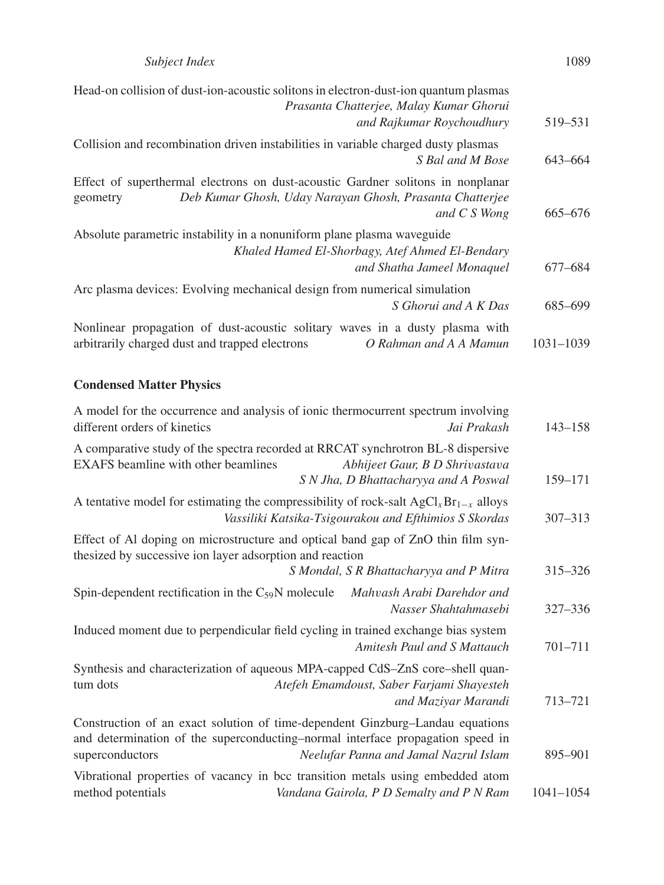| Head-on collision of dust-ion-acoustic solitons in electron-dust-ion quantum plasmas<br>Prasanta Chatterjee, Malay Kumar Ghorui                                         |           |
|-------------------------------------------------------------------------------------------------------------------------------------------------------------------------|-----------|
| and Rajkumar Roychoudhury                                                                                                                                               | 519–531   |
| Collision and recombination driven instabilities in variable charged dusty plasmas<br>S Bal and M Bose                                                                  | 643-664   |
| Effect of superthermal electrons on dust-acoustic Gardner solitons in nonplanar<br>Deb Kumar Ghosh, Uday Narayan Ghosh, Prasanta Chatterjee<br>geometry<br>and C S Wong | 665-676   |
| Absolute parametric instability in a nonuniform plane plasma waveguide<br>Khaled Hamed El-Shorbagy, Atef Ahmed El-Bendary<br>and Shatha Jameel Monaquel                 | 677–684   |
| Arc plasma devices: Evolving mechanical design from numerical simulation<br>S Ghorui and A K Das                                                                        | 685-699   |
| Nonlinear propagation of dust-acoustic solitary waves in a dusty plasma with<br>arbitrarily charged dust and trapped electrons<br>O Rahman and A A Mamun                | 1031-1039 |
| <b>Condensed Matter Physics</b>                                                                                                                                         |           |

| different orders of kinetics                             | A model for the occurrence and analysis of ionic thermocurrent spectrum involving<br>Jai Prakash                                                                                                         | $143 - 158$   |
|----------------------------------------------------------|----------------------------------------------------------------------------------------------------------------------------------------------------------------------------------------------------------|---------------|
| EXAFS beamline with other beamlines                      | A comparative study of the spectra recorded at RRCAT synchrotron BL-8 dispersive<br>Abhijeet Gaur, B D Shrivastava<br>S N Jha, D Bhattacharyya and A Poswal                                              | 159-171       |
|                                                          | A tentative model for estimating the compressibility of rock-salt $AgClxBr1-x$ alloys<br>Vassiliki Katsika-Tsigourakou and Efthimios S Skordas                                                           | 307-313       |
| thesized by successive ion layer adsorption and reaction | Effect of Al doping on microstructure and optical band gap of ZnO thin film syn-<br>S Mondal, S R Bhattacharyya and P Mitra                                                                              | 315-326       |
| Spin-dependent rectification in the $C_{59}N$ molecule   | Mahvash Arabi Darehdor and<br>Nasser Shahtahmasebi                                                                                                                                                       | 327-336       |
|                                                          | Induced moment due to perpendicular field cycling in trained exchange bias system<br>Amitesh Paul and S Mattauch                                                                                         | 701-711       |
| tum dots                                                 | Synthesis and characterization of aqueous MPA-capped CdS-ZnS core-shell quan-<br>Atefeh Emamdoust, Saber Farjami Shayesteh<br>and Maziyar Marandi                                                        | 713-721       |
| superconductors                                          | Construction of an exact solution of time-dependent Ginzburg-Landau equations<br>and determination of the superconducting-normal interface propagation speed in<br>Neelufar Panna and Jamal Nazrul Islam | 895-901       |
| method potentials                                        | Vibrational properties of vacancy in bcc transition metals using embedded atom<br>Vandana Gairola, P D Semalty and P N Ram                                                                               | $1041 - 1054$ |